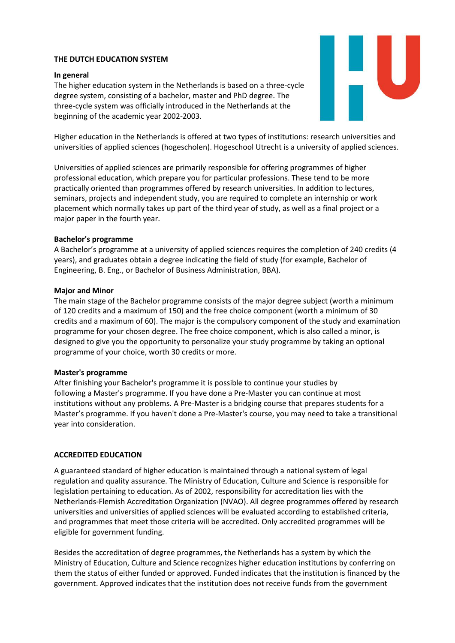# **THE DUTCH EDUCATION SYSTEM**

## **In general**

The higher education system in the Netherlands is based on a three-cycle degree system, consisting of a bachelor, master and PhD degree. The three-cycle system was officially introduced in the Netherlands at the beginning of the academic year 2002-2003.

Higher education in the Netherlands is offered at two types of institutions: research universities and universities of applied sciences (hogescholen). Hogeschool Utrecht is a university of applied sciences.

Universities of applied sciences are primarily responsible for offering programmes of higher professional education, which prepare you for particular professions. These tend to be more practically oriented than programmes offered by research universities. In addition to lectures, seminars, projects and independent study, you are required to complete an internship or work placement which normally takes up part of the third year of study, as well as a final project or a major paper in the fourth year.

## **Bachelor's programme**

A Bachelor's programme at a university of applied sciences requires the completion of 240 credits (4 years), and graduates obtain a degree indicating the field of study (for example, Bachelor of Engineering, B. Eng., or Bachelor of Business Administration, BBA).

## **Major and Minor**

The main stage of the Bachelor programme consists of the major degree subject (worth a minimum of 120 credits and a maximum of 150) and the free choice component (worth a minimum of 30 credits and a maximum of 60). The major is the compulsory component of the study and examination programme for your chosen degree. The free choice component, which is also called a minor, is designed to give you the opportunity to personalize your study programme by taking an optional programme of your choice, worth 30 credits or more.

## **Master's programme**

After finishing your Bachelor's programme it is possible to continue your studies by following a Master's programme. If you have done a Pre-Master you can continue at most institutions without any problems. A Pre-Master is a bridging course that prepares students for a Master's programme. If you haven't done a Pre-Master's course, you may need to take a transitional year into consideration.

## **ACCREDITED EDUCATION**

A guaranteed standard of higher education is maintained through a national system of legal regulation and quality assurance. The Ministry of Education, Culture and Science is responsible for legislation pertaining to education. As of 2002, responsibility for accreditation lies with the Netherlands-Flemish Accreditation Organization (NVAO). All degree programmes offered by research universities and universities of applied sciences will be evaluated according to established criteria, and programmes that meet those criteria will be accredited. Only accredited programmes will be eligible for government funding.

Besides the accreditation of degree programmes, the Netherlands has a system by which the Ministry of Education, Culture and Science recognizes higher education institutions by conferring on them the status of either funded or approved. Funded indicates that the institution is financed by the government. Approved indicates that the institution does not receive funds from the government